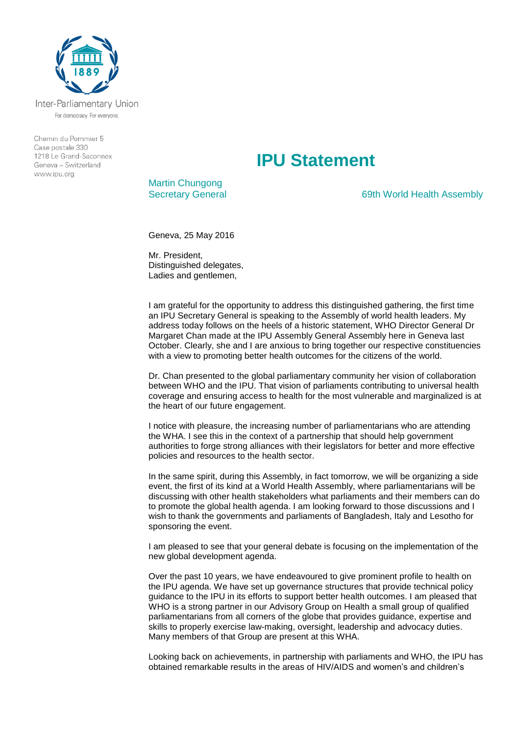

Inter-Parliamentary Union For democracy. For everyone.

Chemin du Pommier 5 Case postale 330 1218 Le Grand-Saconnex Geneva - Switzerland www.ipu.org

## **IPU Statement**

Martin Chungong

Secretary General **69th World Health Assembly** 

Geneva, 25 May 2016

Mr. President, Distinguished delegates, Ladies and gentlemen,

I am grateful for the opportunity to address this distinguished gathering, the first time an IPU Secretary General is speaking to the Assembly of world health leaders. My address today follows on the heels of a historic statement, WHO Director General Dr Margaret Chan made at the IPU Assembly General Assembly here in Geneva last October. Clearly, she and I are anxious to bring together our respective constituencies with a view to promoting better health outcomes for the citizens of the world.

Dr. Chan presented to the global parliamentary community her vision of collaboration between WHO and the IPU. That vision of parliaments contributing to universal health coverage and ensuring access to health for the most vulnerable and marginalized is at the heart of our future engagement.

I notice with pleasure, the increasing number of parliamentarians who are attending the WHA. I see this in the context of a partnership that should help government authorities to forge strong alliances with their legislators for better and more effective policies and resources to the health sector.

In the same spirit, during this Assembly, in fact tomorrow, we will be organizing a side event, the first of its kind at a World Health Assembly, where parliamentarians will be discussing with other health stakeholders what parliaments and their members can do to promote the global health agenda. I am looking forward to those discussions and I wish to thank the governments and parliaments of Bangladesh, Italy and Lesotho for sponsoring the event.

I am pleased to see that your general debate is focusing on the implementation of the new global development agenda.

Over the past 10 years, we have endeavoured to give prominent profile to health on the IPU agenda. We have set up governance structures that provide technical policy guidance to the IPU in its efforts to support better health outcomes. I am pleased that WHO is a strong partner in our Advisory Group on Health a small group of qualified parliamentarians from all corners of the globe that provides guidance, expertise and skills to properly exercise law-making, oversight, leadership and advocacy duties. Many members of that Group are present at this WHA.

Looking back on achievements, in partnership with parliaments and WHO, the IPU has obtained remarkable results in the areas of HIV/AIDS and women's and children's